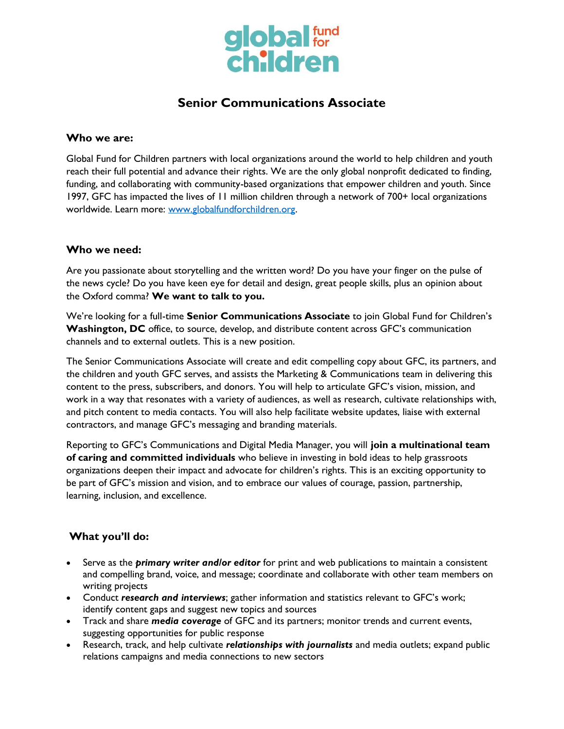

# **Senior Communications Associate**

#### **Who we are:**

Global Fund for Children partners with local organizations around the world to help children and youth reach their full potential and advance their rights. We are the only global nonprofit dedicated to finding, funding, and collaborating with community-based organizations that empower children and youth. Since 1997, GFC has impacted the lives of 11 million children through a network of 700+ local organizations worldwide. Learn more: [www.globalfundforchildren.org.](http://www.globalfundforchildren.org/)

### **Who we need:**

Are you passionate about storytelling and the written word? Do you have your finger on the pulse of the news cycle? Do you have keen eye for detail and design, great people skills, plus an opinion about the Oxford comma? **We want to talk to you.**

We're looking for a full-time **Senior Communications Associate** to join Global Fund for Children's **Washington, DC** office, to source, develop, and distribute content across GFC's communication channels and to external outlets. This is a new position.

The Senior Communications Associate will create and edit compelling copy about GFC, its partners, and the children and youth GFC serves, and assists the Marketing & Communications team in delivering this content to the press, subscribers, and donors. You will help to articulate GFC's vision, mission, and work in a way that resonates with a variety of audiences, as well as research, cultivate relationships with, and pitch content to media contacts. You will also help facilitate website updates, liaise with external contractors, and manage GFC's messaging and branding materials.

Reporting to GFC's Communications and Digital Media Manager, you will **join a multinational team of caring and committed individuals** who believe in investing in bold ideas to help grassroots organizations deepen their impact and advocate for children's rights. This is an exciting opportunity to be part of GFC's mission and vision, and to embrace our values of courage, passion, partnership, learning, inclusion, and excellence.

### **What you'll do:**

- Serve as the *primary writer and/or editor* for print and web publications to maintain a consistent and compelling brand, voice, and message; coordinate and collaborate with other team members on writing projects
- Conduct *research and interviews*; gather information and statistics relevant to GFC's work; identify content gaps and suggest new topics and sources
- Track and share *media coverage* of GFC and its partners; monitor trends and current events, suggesting opportunities for public response
- Research, track, and help cultivate *relationships with journalists* and media outlets; expand public relations campaigns and media connections to new sectors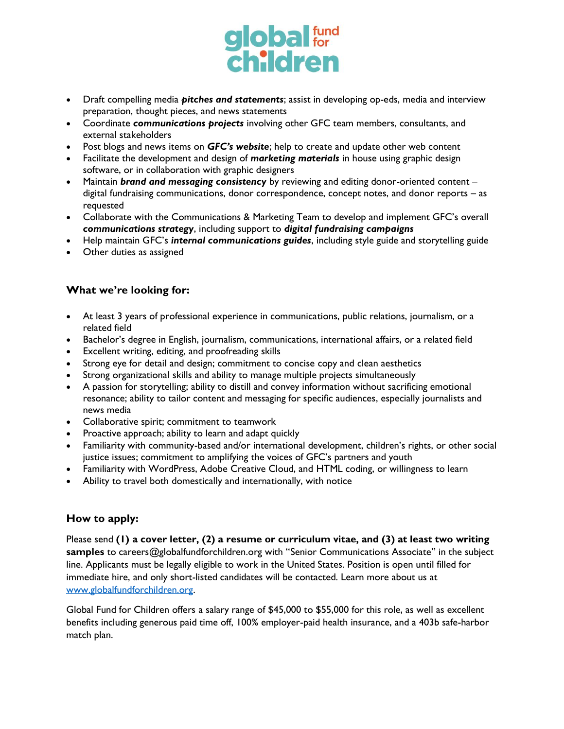

- Draft compelling media *pitches and statements*; assist in developing op-eds, media and interview preparation, thought pieces, and news statements
- Coordinate *communications projects* involving other GFC team members, consultants, and external stakeholders
- Post blogs and news items on *GFC's website*; help to create and update other web content
- Facilitate the development and design of *marketing materials* in house using graphic design software, or in collaboration with graphic designers
- Maintain *brand and messaging consistency* by reviewing and editing donor-oriented content digital fundraising communications, donor correspondence, concept notes, and donor reports – as requested
- Collaborate with the Communications & Marketing Team to develop and implement GFC's overall *communications strategy*, including support to *digital fundraising campaigns*
- Help maintain GFC's *internal communications guides*, including style guide and storytelling guide
- Other duties as assigned

## **What we're looking for:**

- At least 3 years of professional experience in communications, public relations, journalism, or a related field
- Bachelor's degree in English, journalism, communications, international affairs, or a related field
- Excellent writing, editing, and proofreading skills
- Strong eye for detail and design; commitment to concise copy and clean aesthetics
- Strong organizational skills and ability to manage multiple projects simultaneously
- A passion for storytelling; ability to distill and convey information without sacrificing emotional resonance; ability to tailor content and messaging for specific audiences, especially journalists and news media
- Collaborative spirit; commitment to teamwork
- Proactive approach; ability to learn and adapt quickly
- Familiarity with community-based and/or international development, children's rights, or other social justice issues; commitment to amplifying the voices of GFC's partners and youth
- Familiarity with WordPress, Adobe Creative Cloud, and HTML coding, or willingness to learn
- Ability to travel both domestically and internationally, with notice

## **How to apply:**

Please send **(1) a cover letter, (2) a resume or curriculum vitae, and (3) at least two writing**  samples to careers@globalfundforchildren.org with "Senior Communications Associate" in the subject line. Applicants must be legally eligible to work in the United States. Position is open until filled for immediate hire, and only short-listed candidates will be contacted. Learn more about us at [www.globalfundforchildren.org.](http://www.globalfundforchildren.org/)

Global Fund for Children offers a salary range of \$45,000 to \$55,000 for this role, as well as excellent benefits including generous paid time off, 100% employer-paid health insurance, and a 403b safe-harbor match plan.